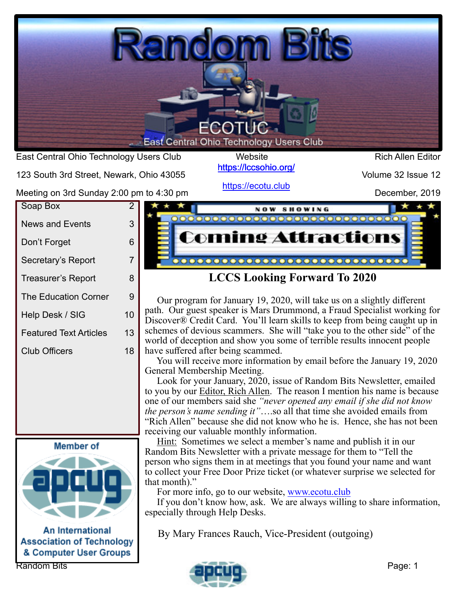

<https://lccsohio.org/>

123 South 3rd Street, Newark, Ohio 43055

<https://ecotu.club>

Volume 32 Issue 12

| Soap Box<br><b>News and Events</b> | 2<br>3 |
|------------------------------------|--------|
|                                    |        |
|                                    |        |
| Don't Forget                       | 6      |
| Secretary's Report                 | 7      |
| <b>Treasurer's Report</b>          | 8      |
| <b>The Education Corner</b>        | 9      |
| Help Desk / SIG                    | 10     |
| <b>Featured Text Articles</b>      | 13     |
| <b>Club Officers</b>               | 18     |
|                                    |        |



**An International Association of Technology** & Computer User Groups



#### **LCCS Looking Forward To 2020**

Our program for January 19, 2020, will take us on a slightly different path. Our guest speaker is Mars Drummond, a Fraud Specialist working for Discover® Credit Card. You'll learn skills to keep from being caught up in schemes of devious scammers. She will "take you to the other side" of the world of deception and show you some of terrible results innocent people have suffered after being scammed.

You will receive more information by email before the January 19, 2020 General Membership Meeting.

Look for your January, 2020, issue of Random Bits Newsletter, emailed to you by our Editor, Rich Allen. The reason I mention his name is because one of our members said she *"never opened any email if she did not know the person's name sending it"*….so all that time she avoided emails from "Rich Allen" because she did not know who he is. Hence, she has not been receiving our valuable monthly information.

Hint: Sometimes we select a member's name and publish it in our Random Bits Newsletter with a private message for them to "Tell the person who signs them in at meetings that you found your name and want to collect your Free Door Prize ticket (or whatever surprise we selected for that month)."

For more info, go to our website, www.ecotu.club

If you don't know how, ask. We are always willing to share information, especially through Help Desks.

By Mary Frances Rauch, Vice-President (outgoing)

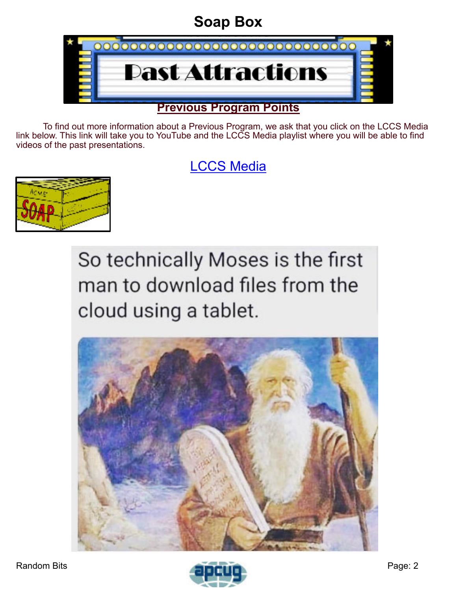# **Soap Box**

<span id="page-1-0"></span>

To find out more information about a Previous Program, we ask that you click on the LCCS Media link below. This link will take you to YouTube and the LCCS Media playlist where you will be able to find videos of the past presentations.

# [LCCS Media](https://www.youtube.com/playlist?list=PLpaxj3rjf_8Ykfq-VbR0I4wOGsm_01RpI)



So technically Moses is the first man to download files from the cloud using a tablet.



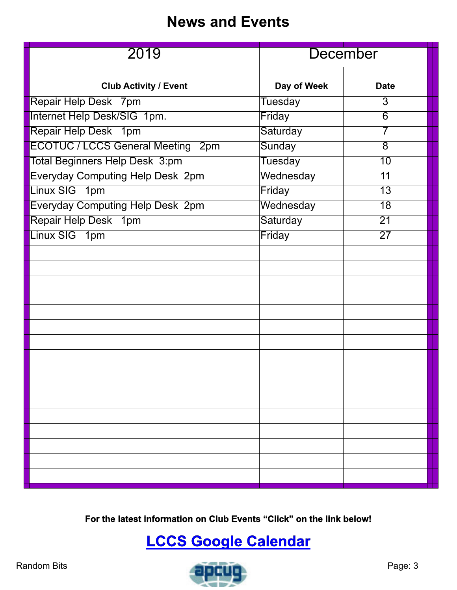## **News and Events**

<span id="page-2-0"></span>

| 2019                                     | <b>December</b> |                 |
|------------------------------------------|-----------------|-----------------|
| <b>Club Activity / Event</b>             | Day of Week     | <b>Date</b>     |
|                                          |                 | $\overline{3}$  |
| Repair Help Desk 7pm                     | Tuesday         |                 |
| Internet Help Desk/SIG 1pm.              | Friday          | $\overline{6}$  |
| Repair Help Desk 1pm                     | Saturday        | $\overline{7}$  |
| <b>ECOTUC / LCCS General Meeting 2pm</b> | Sunday          | $\overline{8}$  |
| <b>Total Beginners Help Desk 3:pm</b>    | <b>Tuesday</b>  | 10              |
| <b>Everyday Computing Help Desk 2pm</b>  | Wednesday       | $\overline{11}$ |
| Linux SIG 1pm                            | Friday          | $\overline{13}$ |
| <b>Everyday Computing Help Desk 2pm</b>  | Wednesday       | $\overline{18}$ |
| Repair Help Desk 1pm                     | Saturday        | $\overline{21}$ |
| Linux SIG 1pm                            | Friday          | $\overline{27}$ |
|                                          |                 |                 |
|                                          |                 |                 |
|                                          |                 |                 |
|                                          |                 |                 |
|                                          |                 |                 |
|                                          |                 |                 |
|                                          |                 |                 |
|                                          |                 |                 |
|                                          |                 |                 |
|                                          |                 |                 |
|                                          |                 |                 |
|                                          |                 |                 |
|                                          |                 |                 |
|                                          |                 |                 |
|                                          |                 |                 |
|                                          |                 |                 |
|                                          |                 |                 |

**For the latest information on Club Events "Click" on the link below!**

# **[LCCS Google Calendar](https://www.google.com/calendar/embed?src=0uroppicsshfku561ujq4gl65g@group.calendar.google.com&ctz=America/New_York)**

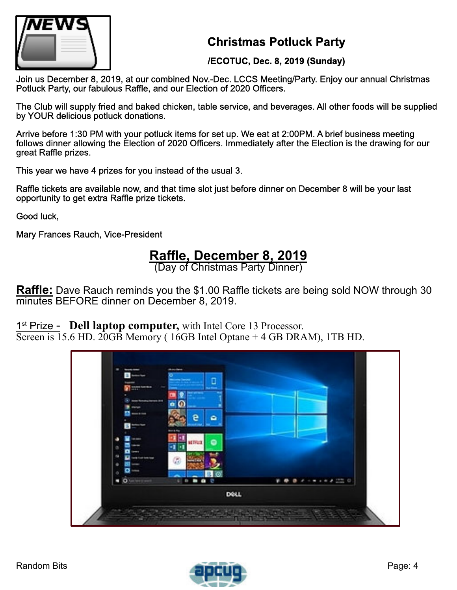

#### **Christmas Potluck Party**

#### **/ECOTUC, Dec. 8, 2019 (Sunday)**

Join us December 8, 2019, at our combined Nov.-Dec. LCCS Meeting/Party. Enjoy our annual Christmas Potluck Party, our fabulous Raffle, and our Election of 2020 Officers.

The Club will supply fried and baked chicken, table service, and beverages. All other foods will be supplied by YOUR delicious potluck donations.

Arrive before 1:30 PM with your potluck items for set up. We eat at 2:00PM. A brief business meeting follows dinner allowing the Election of 2020 Officers. Immediately after the Election is the drawing for our great Raffle prizes.

This year we have 4 prizes for you instead of the usual 3.

Raffle tickets are available now, and that time slot just before dinner on December 8 will be your last opportunity to get extra Raffle prize tickets.

Good luck,

Mary Frances Rauch, Vice-President

### **Raffle, December 8, 2019**

(Day of Christmas Party Dinner)

**Raffle:** Dave Rauch reminds you the \$1.00 Raffle tickets are being sold NOW through 30 minutes BEFORE dinner on December 8, 2019.

1<sup>st</sup> Prize - Dell laptop computer, with Intel Core 13 Processor.

Screen is  $15.6$  HD.  $20GB$  Memory ( $16GB$  Intel Optane  $+$  4 GB DRAM), 1TB HD.



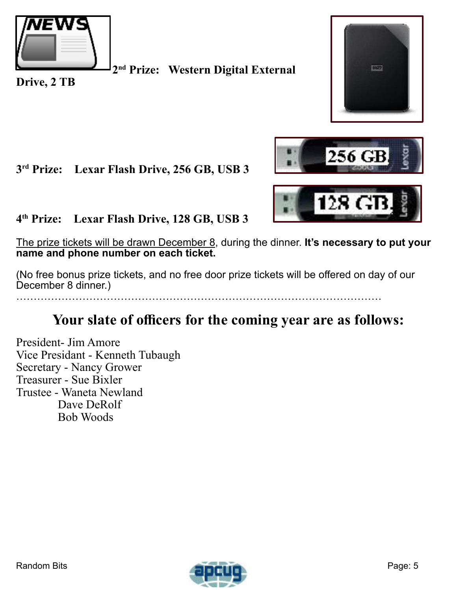

**2 nd Prize: Western Digital External**



**Drive, 2 TB**

#### **3 rd Prize: Lexar Flash Drive, 256 GB, USB 3**



#### **4 th Prize: Lexar Flash Drive, 128 GB, USB 3**

The prize tickets will be drawn December 8, during the dinner. **It's necessary to put your name and phone number on each ticket.**

(No free bonus prize tickets, and no free door prize tickets will be offered on day of our December 8 dinner.)

### **Your slate of officers for the coming year are as follows:**

President- Jim Amore Vice Presidant - Kenneth Tubaugh Secretary - Nancy Grower Treasurer - Sue Bixler Trustee - Waneta Newland Dave DeRolf Bob Woods

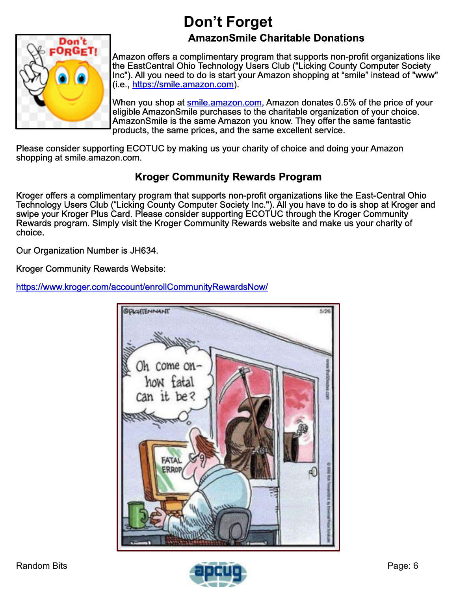# **Don't Forget**

#### **AmazonSmile Charitable Donations**

<span id="page-5-0"></span>

Amazon offers a complimentary program that supports non-profit organizations like the EastCentral Ohio Technology Users Club ("Licking County Computer Society Inc"). All you need to do is start your Amazon shopping at "smile" instead of "www" (i.e., <https://smile.amazon.com>).

When you shop at [smile.amazon.com,](https://smile.amazon.com) Amazon donates 0.5% of the price of your eligible AmazonSmile purchases to the charitable organization of your choice. AmazonSmile is the same Amazon you know. They offer the same fantastic products, the same prices, and the same excellent service.

Please consider supporting ECOTUC by making us your charity of choice and doing your Amazon shopping at smile.amazon.com.

#### **Kroger Community Rewards Program**

Kroger offers a complimentary program that supports non-profit organizations like the East-Central Ohio Technology Users Club ("Licking County Computer Society Inc."). All you have to do is shop at Kroger and swipe your Kroger Plus Card. Please consider supporting ECOTUC through the Kroger Community Rewards program. Simply visit the Kroger Community Rewards website and make us your charity of choice.

Our Organization Number is JH634.

Kroger Community Rewards Website:

<https://www.kroger.com/account/enrollCommunityRewardsNow/>



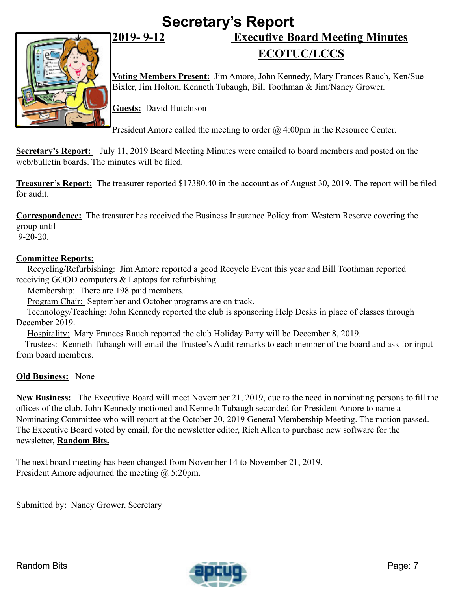# **Secretary's Report 2019- 9-12 Executive Board Meeting Minutes**

<span id="page-6-0"></span>

# **ECOTUC/LCCS**

**Voting Members Present:** Jim Amore, John Kennedy, Mary Frances Rauch, Ken/Sue Bixler, Jim Holton, Kenneth Tubaugh, Bill Toothman & Jim/Nancy Grower.

**Guests:** David Hutchison

President Amore called the meeting to order  $\omega$  4:00pm in the Resource Center.

**Secretary's Report:** July 11, 2019 Board Meeting Minutes were emailed to board members and posted on the web/bulletin boards. The minutes will be filed.

**Treasurer's Report:** The treasurer reported \$17380.40 in the account as of August 30, 2019. The report will be filed for audit.

**Correspondence:** The treasurer has received the Business Insurance Policy from Western Reserve covering the group until

9-20-20.

#### **Committee Reports:**

Recycling/Refurbishing: Jim Amore reported a good Recycle Event this year and Bill Toothman reported receiving GOOD computers & Laptops for refurbishing.

Membership: There are 198 paid members.

Program Chair: September and October programs are on track.

Technology/Teaching: John Kennedy reported the club is sponsoring Help Desks in place of classes through December 2019.

Hospitality: Mary Frances Rauch reported the club Holiday Party will be December 8, 2019.

Trustees: Kenneth Tubaugh will email the Trustee's Audit remarks to each member of the board and ask for input from board members.

#### **Old Business:** None

**New Business:** The Executive Board will meet November 21, 2019, due to the need in nominating persons to fill the offices of the club. John Kennedy motioned and Kenneth Tubaugh seconded for President Amore to name a Nominating Committee who will report at the October 20, 2019 General Membership Meeting. The motion passed. The Executive Board voted by email, for the newsletter editor, Rich Allen to purchase new software for the newsletter, **Random Bits.**

The next board meeting has been changed from November 14 to November 21, 2019. President Amore adjourned the meeting @ 5:20pm.

Submitted by: Nancy Grower, Secretary

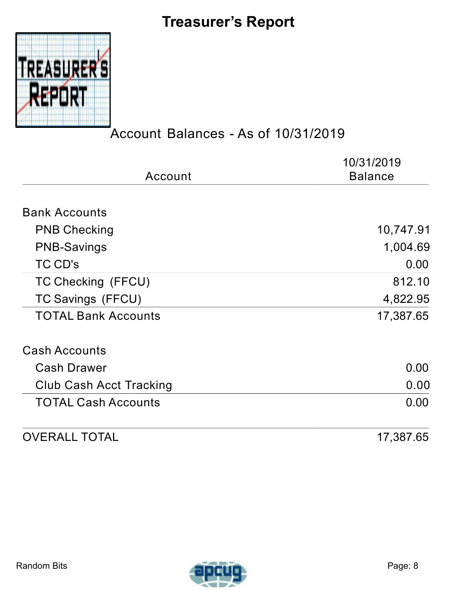# **Treasurer's Report**

<span id="page-7-0"></span>

### Account Balances - As of 10/31/2019

|                                | 10/31/2019     |  |
|--------------------------------|----------------|--|
| Account                        | <b>Balance</b> |  |
| <b>Bank Accounts</b>           |                |  |
| <b>PNB Checking</b>            | 10,747.91      |  |
| <b>PNB-Savings</b>             | 1,004.69       |  |
| TC CD's                        | 0.00           |  |
| TC Checking (FFCU)             | 812.10         |  |
| TC Savings (FFCU)              | 4,822.95       |  |
| <b>TOTAL Bank Accounts</b>     | 17,387.65      |  |
| <b>Cash Accounts</b>           |                |  |
| <b>Cash Drawer</b>             | 0.00           |  |
| <b>Club Cash Acct Tracking</b> | 0.00           |  |
| <b>TOTAL Cash Accounts</b>     | 0.00           |  |
| <b>OVERALL TOTAL</b>           | 17,387.65      |  |

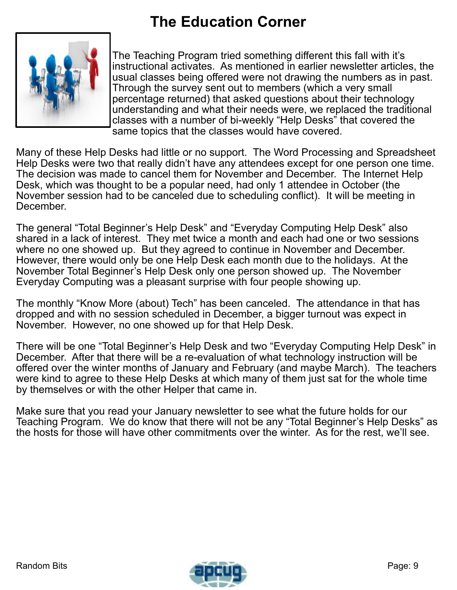# **The Education Corner**

<span id="page-8-0"></span>

The Teaching Program tried something different this fall with it's instructional activates. As mentioned in earlier newsletter articles, the usual classes being offered were not drawing the numbers as in past. Through the survey sent out to members (which a very small percentage returned) that asked questions about their technology understanding and what their needs were, we replaced the traditional classes with a number of bi-weekly "Help Desks" that covered the same topics that the classes would have covered.

Many of these Help Desks had little or no support. The Word Processing and Spreadsheet Help Desks were two that really didn't have any attendees except for one person one time. The decision was made to cancel them for November and December. The Internet Help Desk, which was thought to be a popular need, had only 1 attendee in October (the November session had to be canceled due to scheduling conflict). It will be meeting in December.

The general "Total Beginner's Help Desk" and "Everyday Computing Help Desk" also shared in a lack of interest. They met twice a month and each had one or two sessions where no one showed up. But they agreed to continue in November and December. However, there would only be one Help Desk each month due to the holidays. At the November Total Beginner's Help Desk only one person showed up. The November Everyday Computing was a pleasant surprise with four people showing up.

The monthly "Know More (about) Tech" has been canceled. The attendance in that has dropped and with no session scheduled in December, a bigger turnout was expect in November. However, no one showed up for that Help Desk.

There will be one "Total Beginner's Help Desk and two "Everyday Computing Help Desk" in December. After that there will be a re-evaluation of what technology instruction will be offered over the winter months of January and February (and maybe March). The teachers were kind to agree to these Help Desks at which many of them just sat for the whole time by themselves or with the other Helper that came in.

Make sure that you read your January newsletter to see what the future holds for our Teaching Program. We do know that there will not be any "Total Beginner's Help Desks" as the hosts for those will have other commitments over the winter. As for the rest, we'll see.

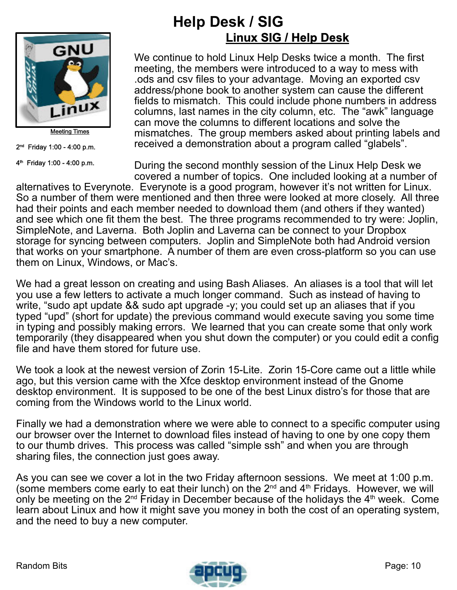<span id="page-9-0"></span>

**Meeting Times** 

2 nd Friday 1:00 - 4:00 p.m.

4 th Friday 1:00 - 4:00 p.m.

### **Help Desk / SIG Linux SIG / Help Desk**

We continue to hold Linux Help Desks twice a month. The first meeting, the members were introduced to a way to mess with .ods and csv files to your advantage. Moving an exported csv address/phone book to another system can cause the different fields to mismatch. This could include phone numbers in address columns, last names in the city column, etc. The "awk" language can move the columns to different locations and solve the mismatches. The group members asked about printing labels and received a demonstration about a program called "glabels".

During the second monthly session of the Linux Help Desk we covered a number of topics. One included looking at a number of

alternatives to Everynote. Everynote is a good program, however it's not written for Linux. So a number of them were mentioned and then three were looked at more closely. All three had their points and each member needed to download them (and others if they wanted) and see which one fit them the best. The three programs recommended to try were: Joplin, SimpleNote, and Laverna. Both Joplin and Laverna can be connect to your Dropbox storage for syncing between computers. Joplin and SimpleNote both had Android version that works on your smartphone. A number of them are even cross-platform so you can use them on Linux, Windows, or Mac's.

We had a great lesson on creating and using Bash Aliases. An aliases is a tool that will let you use a few letters to activate a much longer command. Such as instead of having to write, "sudo apt update && sudo apt upgrade -y; you could set up an aliases that if you typed "upd" (short for update) the previous command would execute saving you some time in typing and possibly making errors. We learned that you can create some that only work temporarily (they disappeared when you shut down the computer) or you could edit a config file and have them stored for future use.

We took a look at the newest version of Zorin 15-Lite. Zorin 15-Core came out a little while ago, but this version came with the Xfce desktop environment instead of the Gnome desktop environment. It is supposed to be one of the best Linux distro's for those that are coming from the Windows world to the Linux world.

Finally we had a demonstration where we were able to connect to a specific computer using our browser over the Internet to download files instead of having to one by one copy them to our thumb drives. This process was called "simple ssh" and when you are through sharing files, the connection just goes away.

As you can see we cover a lot in the two Friday afternoon sessions. We meet at 1:00 p.m. (some members come early to eat their lunch) on the  $2^{nd}$  and  $4^{th}$  Fridays. However, we will only be meeting on the  $2^{nd}$  Friday in December because of the holidays the  $4^{th}$  week. Come learn about Linux and how it might save you money in both the cost of an operating system, and the need to buy a new computer.

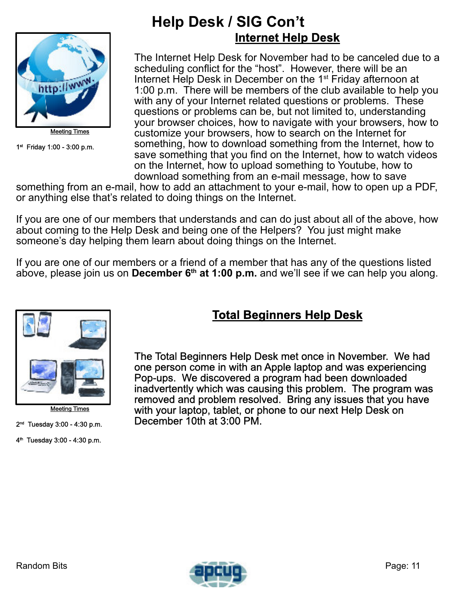

Meeting Times

1 st Friday 1:00 - 3:00 p.m.

### **Help Desk / SIG Con't Internet Help Desk**

The Internet Help Desk for November had to be canceled due to a scheduling conflict for the "host". However, there will be an Internet Help Desk in December on the 1st Friday afternoon at 1:00 p.m. There will be members of the club available to help you with any of your Internet related questions or problems. These questions or problems can be, but not limited to, understanding your browser choices, how to navigate with your browsers, how to customize your browsers, how to search on the Internet for something, how to download something from the Internet, how to save something that you find on the Internet, how to watch videos on the Internet, how to upload something to Youtube, how to download something from an e-mail message, how to save

something from an e-mail, how to add an attachment to your e-mail, how to open up a PDF, or anything else that's related to doing things on the Internet.

If you are one of our members that understands and can do just about all of the above, how about coming to the Help Desk and being one of the Helpers? You just might make someone's day helping them learn about doing things on the Internet.

If you are one of our members or a friend of a member that has any of the questions listed above, please join us on **December 6th at 1:00 p.m.** and we'll see if we can help you along.



Meeting Times

2 nd Tuesday 3:00 - 4:30 p.m.

4 th Tuesday 3:00 - 4:30 p.m.

#### **Total Beginners Help Desk**

The Total Beginners Help Desk met once in November. We had one person come in with an Apple laptop and was experiencing Pop-ups. We discovered a program had been downloaded inadvertently which was causing this problem. The program was removed and problem resolved. Bring any issues that you have with your laptop, tablet, or phone to our next Help Desk on December 10th at 3:00 PM.

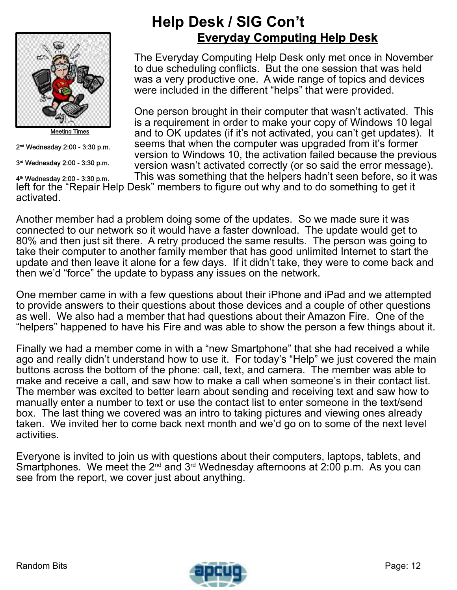

Meeting Times

2 nd Wednesday 2:00 - 3:30 p.m.

3 rd Wednesday 2:00 - 3:30 p.m.

### **Help Desk / SIG Con't Everyday Computing Help Desk**

The Everyday Computing Help Desk only met once in November to due scheduling conflicts. But the one session that was held was a very productive one. A wide range of topics and devices were included in the different "helps" that were provided.

One person brought in their computer that wasn't activated. This is a requirement in order to make your copy of Windows 10 legal and to OK updates (if it's not activated, you can't get updates). It seems that when the computer was upgraded from it's former version to Windows 10, the activation failed because the previous version wasn't activated correctly (or so said the error message).

This was something that the helpers hadn't seen before, so it was left for the "Repair Help Desk" members to figure out why and to do something to get it activated. 4 th Wednesday 2:00 - 3:30 p.m.

Another member had a problem doing some of the updates. So we made sure it was connected to our network so it would have a faster download. The update would get to 80% and then just sit there. A retry produced the same results. The person was going to take their computer to another family member that has good unlimited Internet to start the update and then leave it alone for a few days. If it didn't take, they were to come back and then we'd "force" the update to bypass any issues on the network.

One member came in with a few questions about their iPhone and iPad and we attempted to provide answers to their questions about those devices and a couple of other questions as well. We also had a member that had questions about their Amazon Fire. One of the "helpers" happened to have his Fire and was able to show the person a few things about it.

Finally we had a member come in with a "new Smartphone" that she had received a while ago and really didn't understand how to use it. For today's "Help" we just covered the main buttons across the bottom of the phone: call, text, and camera. The member was able to make and receive a call, and saw how to make a call when someone's in their contact list. The member was excited to better learn about sending and receiving text and saw how to manually enter a number to text or use the contact list to enter someone in the text/send box. The last thing we covered was an intro to taking pictures and viewing ones already taken. We invited her to come back next month and we'd go on to some of the next level activities.

Everyone is invited to join us with questions about their computers, laptops, tablets, and Smartphones. We meet the  $2^{nd}$  and  $3^{rd}$  Wednesday afternoons at 2:00 p.m. As you can see from the report, we cover just about anything.

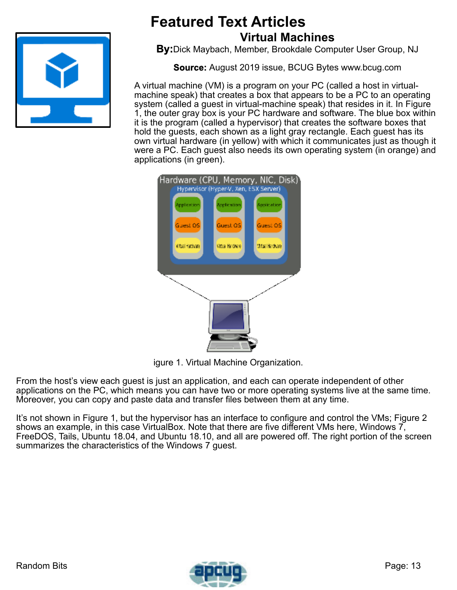<span id="page-12-0"></span>

## **Featured Text Articles Virtual Machines**

**By:**Dick Maybach, Member, Brookdale Computer User Group, NJ

**Source:** August 2019 issue, BCUG Bytes www.bcug.com

A virtual machine (VM) is a program on your PC (called a host in virtualmachine speak) that creates a box that appears to be a PC to an operating system (called a guest in virtual-machine speak) that resides in it. In Figure 1, the outer gray box is your PC hardware and software. The blue box within it is the program (called a hypervisor) that creates the software boxes that hold the guests, each shown as a light gray rectangle. Each guest has its own virtual hardware (in yellow) with which it communicates just as though it were a PC. Each guest also needs its own operating system (in orange) and applications (in green).



igure 1. Virtual Machine Organization.

From the host's view each guest is just an application, and each can operate independent of other applications on the PC, which means you can have two or more operating systems live at the same time. Moreover, you can copy and paste data and transfer files between them at any time.

It's not shown in Figure 1, but the hypervisor has an interface to configure and control the VMs; Figure 2 shows an example, in this case VirtualBox. Note that there are five different VMs here, Windows 7, FreeDOS, Tails, Ubuntu 18.04, and Ubuntu 18.10, and all are powered off. The right portion of the screen summarizes the characteristics of the Windows 7 guest.

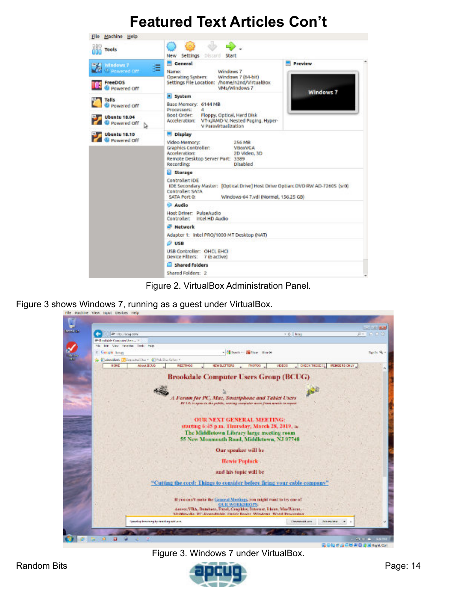

Figure 2. VirtualBox Administration Panel.

Figure 3 shows Windows 7, running as a guest under VirtualBox.



Figure 3. Windows 7 under VirtualBox.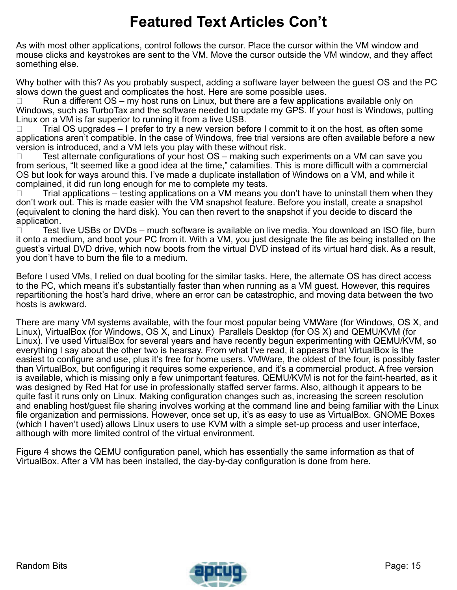As with most other applications, control follows the cursor. Place the cursor within the VM window and mouse clicks and keystrokes are sent to the VM. Move the cursor outside the VM window, and they affect something else.

Why bother with this? As you probably suspect, adding a software layer between the guest OS and the PC slows down the guest and complicates the host. Here are some possible uses.

Run a different  $OS - my$  host runs on Linux, but there are a few applications available only on Windows, such as TurboTax and the software needed to update my GPS. If your host is Windows, putting Linux on a VM is far superior to running it from a live USB.

 $\Box$  Trial OS upgrades – I prefer to try a new version before I commit to it on the host, as often some applications aren't compatible. In the case of Windows, free trial versions are often available before a new version is introduced, and a VM lets you play with these without risk.

 $\Box$  Test alternate configurations of your host  $OS$  – making such experiments on a VM can save you from serious, "It seemed like a good idea at the time," calamities. This is more difficult with a commercial OS but look for ways around this. I've made a duplicate installation of Windows on a VM, and while it complained, it did run long enough for me to complete my tests.

 $\Box$  Trial applications – testing applications on a VM means you don't have to uninstall them when they don't work out. This is made easier with the VM snapshot feature. Before you install, create a snapshot (equivalent to cloning the hard disk). You can then revert to the snapshot if you decide to discard the application.

 $\Box$  Test live USBs or DVDs – much software is available on live media. You download an ISO file, burn it onto a medium, and boot your PC from it. With a VM, you just designate the file as being installed on the guest's virtual DVD drive, which now boots from the virtual DVD instead of its virtual hard disk. As a result, you don't have to burn the file to a medium.

Before I used VMs, I relied on dual booting for the similar tasks. Here, the alternate OS has direct access to the PC, which means it's substantially faster than when running as a VM guest. However, this requires repartitioning the host's hard drive, where an error can be catastrophic, and moving data between the two hosts is awkward.

There are many VM systems available, with the four most popular being VMWare (for Windows, OS X, and Linux), VirtualBox (for Windows, OS X, and Linux) Parallels Desktop (for OS X) and QEMU/KVM (for Linux). I've used VirtualBox for several years and have recently begun experimenting with QEMU/KVM, so everything I say about the other two is hearsay. From what I've read, it appears that VirtualBox is the easiest to configure and use, plus it's free for home users. VMWare, the oldest of the four, is possibly faster than VirtualBox, but configuring it requires some experience, and it's a commercial product. A free version is available, which is missing only a few unimportant features. QEMU/KVM is not for the faint-hearted, as it was designed by Red Hat for use in professionally staffed server farms. Also, although it appears to be quite fast it runs only on Linux. Making configuration changes such as, increasing the screen resolution and enabling host/guest file sharing involves working at the command line and being familiar with the Linux file organization and permissions. However, once set up, it's as easy to use as VirtualBox. GNOME Boxes (which I haven't used) allows Linux users to use KVM with a simple set-up process and user interface, although with more limited control of the virtual environment.

Figure 4 shows the QEMU configuration panel, which has essentially the same information as that of VirtualBox. After a VM has been installed, the day-by-day configuration is done from here.

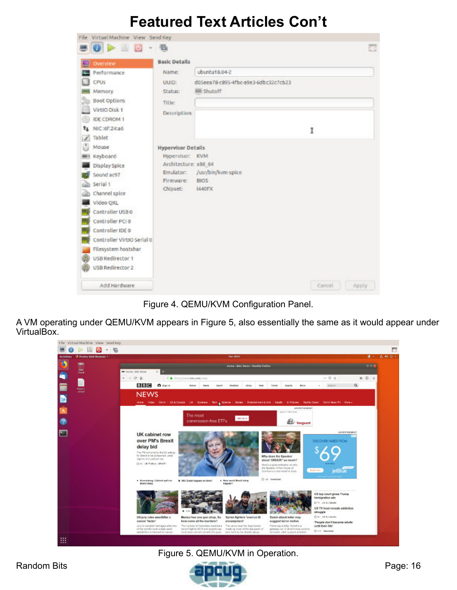| File Virtual Machine View Send Key   |                           |                                        |                 |     |
|--------------------------------------|---------------------------|----------------------------------------|-----------------|-----|
| $\bullet$ $\triangleright$ $\square$ | s                         |                                        |                 | 575 |
| Overview                             | <b>Basic Details</b>      |                                        |                 |     |
| Performance                          | Name:                     | ubuntu18.04-2                          |                 |     |
| <b>CPUs</b>                          | UUID:                     | d05eea7B-c895-4fbc-a9e3-6dbc32c7cb23   |                 |     |
| Memory                               | Status:                   | <b>IIII</b> Shutoff                    |                 |     |
| <b>Boot Options</b>                  | Title:                    |                                        |                 |     |
| VirtIO Disk 1                        | Description:              |                                        |                 |     |
| <b>IDE CDROM 1</b>                   |                           |                                        |                 |     |
| NIC:6f:24:a6<br>Ťı                   |                           |                                        | Ī               |     |
| Tablet                               |                           |                                        |                 |     |
| Mouse                                | <b>Hypervisor Details</b> |                                        |                 |     |
| Keyboard                             | Hypervisor: KVM           |                                        |                 |     |
| Display Spice                        | Architecture: x86_64      |                                        |                 |     |
| Sound ac97                           | Emulator:<br>Firmware:    | /usr/bin/kvm-spice<br>BIO <sub>5</sub> |                 |     |
| Serial 1                             | Chipset:                  | 1440FX                                 |                 |     |
| Channel spice                        |                           |                                        |                 |     |
| Video OXL                            |                           |                                        |                 |     |
| Controller USB 0                     |                           |                                        |                 |     |
| Controller PCI 0                     |                           |                                        |                 |     |
| Controller IDE 0                     |                           |                                        |                 |     |
| Controller VirtIO Serial 0           |                           |                                        |                 |     |
| Filesystem hostshar                  |                           |                                        |                 |     |
| USB Redirector 1                     |                           |                                        |                 |     |
| USB Redirector 2                     |                           |                                        |                 |     |
| Add Hardware                         |                           |                                        | Cancel<br>Apply |     |

Figure 4. QEMU/KVM Configuration Panel.

A VM operating under QEMU/KVM appears in Figure 5, also essentially the same as it would appear under VirtualBox.



#### Figure 5. QEMU/KVM in Operation.

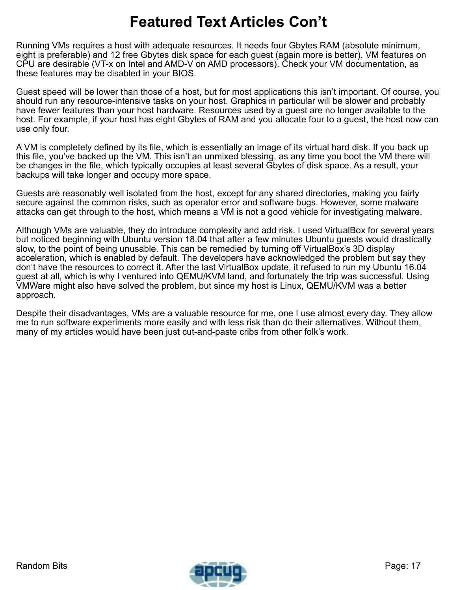Running VMs requires a host with adequate resources. It needs four Gbytes RAM (absolute minimum, eight is preferable) and 12 free Gbytes disk space for each guest (again more is better). VM features on CPU are desirable (VT-x on Intel and AMD-V on AMD processors). Check your VM documentation, as these features may be disabled in your BIOS.

Guest speed will be lower than those of a host, but for most applications this isn't important. Of course, you should run any resource-intensive tasks on your host. Graphics in particular will be slower and probably have fewer features than your host hardware. Resources used by a guest are no longer available to the host. For example, if your host has eight Gbytes of RAM and you allocate four to a guest, the host now can use only four.

A VM is completely defined by its file, which is essentially an image of its virtual hard disk. If you back up this file, you've backed up the VM. This isn't an unmixed blessing, as any time you boot the VM there will be changes in the file, which typically occupies at least several Gbytes of disk space. As a result, your backups will take longer and occupy more space.

Guests are reasonably well isolated from the host, except for any shared directories, making you fairly secure against the common risks, such as operator error and software bugs. However, some malware attacks can get through to the host, which means a VM is not a good vehicle for investigating malware.

Although VMs are valuable, they do introduce complexity and add risk. I used VirtualBox for several years but noticed beginning with Ubuntu version 18.04 that after a few minutes Ubuntu guests would drastically slow, to the point of being unusable. This can be remedied by turning off VirtualBox's 3D display acceleration, which is enabled by default. The developers have acknowledged the problem but say they don't have the resources to correct it. After the last VirtualBox update, it refused to run my Ubuntu 16.04 guest at all, which is why I ventured into QEMU/KVM land, and fortunately the trip was successful. Using VMWare might also have solved the problem, but since my host is Linux, QEMU/KVM was a better approach.

Despite their disadvantages, VMs are a valuable resource for me, one I use almost every day. They allow me to run software experiments more easily and with less risk than do their alternatives. Without them, many of my articles would have been just cut-and-paste cribs from other folk's work.